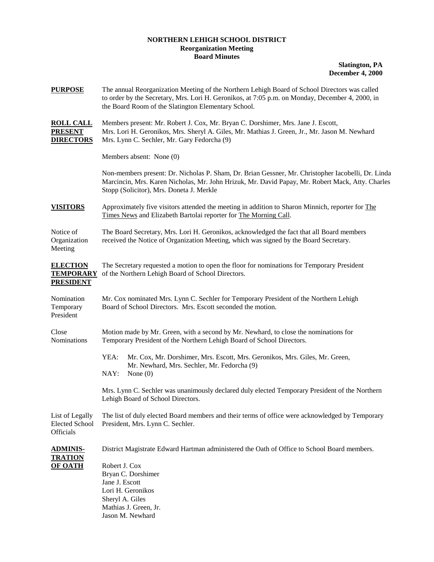## **NORTHERN LEHIGH SCHOOL DISTRICT Reorganization Meeting Board Minutes**

**Slatington, PA December 4, 2000**

| <b>PURPOSE</b>                                          | The annual Reorganization Meeting of the Northern Lehigh Board of School Directors was called<br>to order by the Secretary, Mrs. Lori H. Geronikos, at 7:05 p.m. on Monday, December 4, 2000, in<br>the Board Room of the Slatington Elementary School. |  |  |  |
|---------------------------------------------------------|---------------------------------------------------------------------------------------------------------------------------------------------------------------------------------------------------------------------------------------------------------|--|--|--|
| <b>ROLL CALL</b><br><b>PRESENT</b><br><b>DIRECTORS</b>  | Members present: Mr. Robert J. Cox, Mr. Bryan C. Dorshimer, Mrs. Jane J. Escott,<br>Mrs. Lori H. Geronikos, Mrs. Sheryl A. Giles, Mr. Mathias J. Green, Jr., Mr. Jason M. Newhard<br>Mrs. Lynn C. Sechler, Mr. Gary Fedorcha (9)                        |  |  |  |
|                                                         | Members absent: None (0)                                                                                                                                                                                                                                |  |  |  |
|                                                         | Non-members present: Dr. Nicholas P. Sham, Dr. Brian Gessner, Mr. Christopher Iacobelli, Dr. Linda<br>Marcincin, Mrs. Karen Nicholas, Mr. John Hrizuk, Mr. David Papay, Mr. Robert Mack, Atty. Charles<br>Stopp (Solicitor), Mrs. Doneta J. Merkle      |  |  |  |
| <b>VISITORS</b>                                         | Approximately five visitors attended the meeting in addition to Sharon Minnich, reporter for The<br>Times News and Elizabeth Bartolai reporter for The Morning Call.                                                                                    |  |  |  |
| Notice of<br>Organization<br>Meeting                    | The Board Secretary, Mrs. Lori H. Geronikos, acknowledged the fact that all Board members<br>received the Notice of Organization Meeting, which was signed by the Board Secretary.                                                                      |  |  |  |
| <b>ELECTION</b><br><b>TEMPORARY</b><br><b>PRESIDENT</b> | The Secretary requested a motion to open the floor for nominations for Temporary President<br>of the Northern Lehigh Board of School Directors.                                                                                                         |  |  |  |
| Nomination<br>Temporary<br>President                    | Mr. Cox nominated Mrs. Lynn C. Sechler for Temporary President of the Northern Lehigh<br>Board of School Directors. Mrs. Escott seconded the motion.                                                                                                    |  |  |  |
| Close<br>Nominations                                    | Motion made by Mr. Green, with a second by Mr. Newhard, to close the nominations for<br>Temporary President of the Northern Lehigh Board of School Directors.                                                                                           |  |  |  |
|                                                         | YEA:<br>Mr. Cox, Mr. Dorshimer, Mrs. Escott, Mrs. Geronikos, Mrs. Giles, Mr. Green,<br>Mr. Newhard, Mrs. Sechler, Mr. Fedorcha (9)<br>NAY:<br>None $(0)$                                                                                                |  |  |  |
|                                                         | Mrs. Lynn C. Sechler was unanimously declared duly elected Temporary President of the Northern<br>Lehigh Board of School Directors.                                                                                                                     |  |  |  |
| List of Legally<br><b>Elected School</b><br>Officials   | The list of duly elected Board members and their terms of office were acknowledged by Temporary<br>President, Mrs. Lynn C. Sechler.                                                                                                                     |  |  |  |
| <u>ADMINIS-</u>                                         | District Magistrate Edward Hartman administered the Oath of Office to School Board members.                                                                                                                                                             |  |  |  |
| <b>TRATION</b><br><b>OF OATH</b>                        | Robert J. Cox<br>Bryan C. Dorshimer<br>Jane J. Escott<br>Lori H. Geronikos<br>Sheryl A. Giles<br>Mathias J. Green, Jr.<br>Jason M. Newhard                                                                                                              |  |  |  |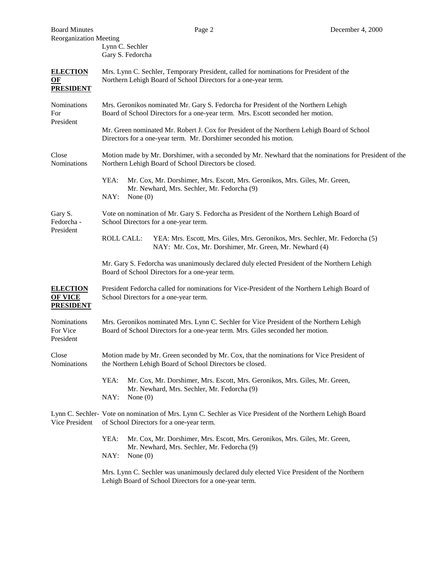| <b>Board Minutes</b>                                         |                                                                                                                                                                           | Page 2                                                                          | December 4, 2000                                                                                           |  |  |
|--------------------------------------------------------------|---------------------------------------------------------------------------------------------------------------------------------------------------------------------------|---------------------------------------------------------------------------------|------------------------------------------------------------------------------------------------------------|--|--|
| <b>Reorganization Meeting</b>                                | Lynn C. Sechler<br>Gary S. Fedorcha                                                                                                                                       |                                                                                 |                                                                                                            |  |  |
| <b>ELECTION</b><br>$\Omega$ <sub>E</sub><br><b>PRESIDENT</b> | Mrs. Lynn C. Sechler, Temporary President, called for nominations for President of the<br>Northern Lehigh Board of School Directors for a one-year term.                  |                                                                                 |                                                                                                            |  |  |
| Nominations<br>For<br>President                              |                                                                                                                                                                           | Board of School Directors for a one-year term. Mrs. Escott seconded her motion. | Mrs. Geronikos nominated Mr. Gary S. Fedorcha for President of the Northern Lehigh                         |  |  |
|                                                              |                                                                                                                                                                           | Directors for a one-year term. Mr. Dorshimer seconded his motion.               | Mr. Green nominated Mr. Robert J. Cox for President of the Northern Lehigh Board of School                 |  |  |
| Close<br>Nominations                                         |                                                                                                                                                                           | Northern Lehigh Board of School Directors be closed.                            | Motion made by Mr. Dorshimer, with a seconded by Mr. Newhard that the nominations for President of the     |  |  |
|                                                              | YEA:<br>NAY:<br>None $(0)$                                                                                                                                                | Mr. Newhard, Mrs. Sechler, Mr. Fedorcha (9)                                     | Mr. Cox, Mr. Dorshimer, Mrs. Escott, Mrs. Geronikos, Mrs. Giles, Mr. Green,                                |  |  |
| Gary S.<br>Fedorcha -<br>President                           | School Directors for a one-year term.                                                                                                                                     |                                                                                 | Vote on nomination of Mr. Gary S. Fedorcha as President of the Northern Lehigh Board of                    |  |  |
|                                                              | <b>ROLL CALL:</b>                                                                                                                                                         | NAY: Mr. Cox, Mr. Dorshimer, Mr. Green, Mr. Newhard (4)                         | YEA: Mrs. Escott, Mrs. Giles, Mrs. Geronikos, Mrs. Sechler, Mr. Fedorcha (5)                               |  |  |
|                                                              |                                                                                                                                                                           | Board of School Directors for a one-year term.                                  | Mr. Gary S. Fedorcha was unanimously declared duly elected President of the Northern Lehigh                |  |  |
| <b>ELECTION</b><br><b>OF VICE</b><br><b>PRESIDENT</b>        | President Fedorcha called for nominations for Vice-President of the Northern Lehigh Board of<br>School Directors for a one-year term.                                     |                                                                                 |                                                                                                            |  |  |
| Nominations<br>For Vice<br>President                         | Mrs. Geronikos nominated Mrs. Lynn C. Sechler for Vice President of the Northern Lehigh<br>Board of School Directors for a one-year term. Mrs. Giles seconded her motion. |                                                                                 |                                                                                                            |  |  |
| Close<br>Nominations                                         |                                                                                                                                                                           | the Northern Lehigh Board of School Directors be closed.                        | Motion made by Mr. Green seconded by Mr. Cox, that the nominations for Vice President of                   |  |  |
|                                                              | YEA:<br>NAY:<br>None $(0)$                                                                                                                                                | Mr. Newhard, Mrs. Sechler, Mr. Fedorcha (9)                                     | Mr. Cox, Mr. Dorshimer, Mrs. Escott, Mrs. Geronikos, Mrs. Giles, Mr. Green,                                |  |  |
| Vice President                                               | of School Directors for a one-year term.                                                                                                                                  |                                                                                 | Lynn C. Sechler- Vote on nomination of Mrs. Lynn C. Sechler as Vice President of the Northern Lehigh Board |  |  |
|                                                              | YEA:<br>Mr. Cox, Mr. Dorshimer, Mrs. Escott, Mrs. Geronikos, Mrs. Giles, Mr. Green,<br>Mr. Newhard, Mrs. Sechler, Mr. Fedorcha (9)<br>NAY:<br>None $(0)$                  |                                                                                 |                                                                                                            |  |  |
|                                                              |                                                                                                                                                                           | Lehigh Board of School Directors for a one-year term.                           | Mrs. Lynn C. Sechler was unanimously declared duly elected Vice President of the Northern                  |  |  |